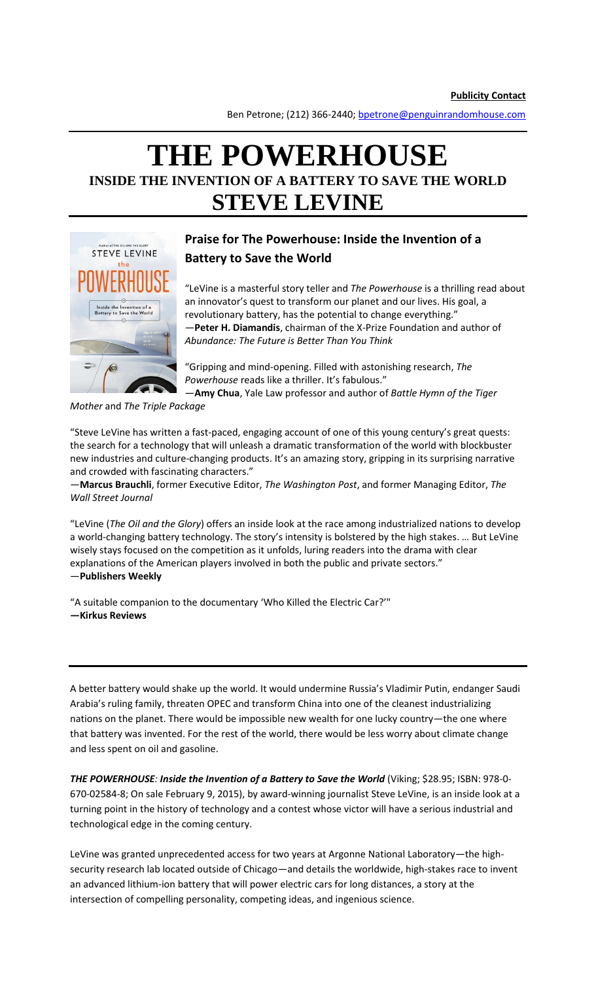Ben Petrone; (212) 366-2440; bpetrone@penguinrandomhouse.com

# **THE POWERHOUSE INSIDE THE INVENTION OF A BATTERY TO SAVE THE WORLD STEVE LEVINE**



## **Praise for The Powerhouse: Inside the Invention of a Battery to Save the World**

"LeVine is a masterful story teller and *The Powerhouse* is a thrilling read about an innovator's quest to transform our planet and our lives. His goal, a revolutionary battery, has the potential to change everything." —**Peter H. Diamandis**, chairman of the X-Prize Foundation and author of *Abundance: The Future is Better Than You Think*

"Gripping and mind-opening. Filled with astonishing research, *The Powerhouse* reads like a thriller. It's fabulous."

—**Amy Chua**, Yale Law professor and author of *Battle Hymn of the Tiger* 

*Mother* and *The Triple Package*

"Steve LeVine has written a fast-paced, engaging account of one of this young century's great quests: the search for a technology that will unleash a dramatic transformation of the world with blockbuster new industries and culture-changing products. It's an amazing story, gripping in its surprising narrative and crowded with fascinating characters."

—**Marcus Brauchli**, former Executive Editor, *The Washington Post*, and former Managing Editor, *The Wall Street Journal*

"LeVine (*The Oil and the Glory*) offers an inside look at the race among industrialized nations to develop a world-changing battery technology. The story's intensity is bolstered by the high stakes. … But LeVine wisely stays focused on the competition as it unfolds, luring readers into the drama with clear explanations of the American players involved in both the public and private sectors." —**Publishers Weekly**

"A suitable companion to the documentary 'Who Killed the Electric Car?'" **—Kirkus Reviews**

A better battery would shake up the world. It would undermine Russia's Vladimir Putin, endanger Saudi Arabia's ruling family, threaten OPEC and transform China into one of the cleanest industrializing nations on the planet. There would be impossible new wealth for one lucky country—the one where that battery was invented. For the rest of the world, there would be less worry about climate change and less spent on oil and gasoline.

*THE POWERHOUSE: Inside the Invention of a Battery to Save the World* (Viking; \$28.95; ISBN: 978-0- 670-02584-8; On sale February 9, 2015), by award-winning journalist Steve LeVine, is an inside look at a turning point in the history of technology and a contest whose victor will have a serious industrial and technological edge in the coming century.

LeVine was granted unprecedented access for two years at Argonne National Laboratory—the highsecurity research lab located outside of Chicago—and details the worldwide, high-stakes race to invent an advanced lithium-ion battery that will power electric cars for long distances, a story at the intersection of compelling personality, competing ideas, and ingenious science.